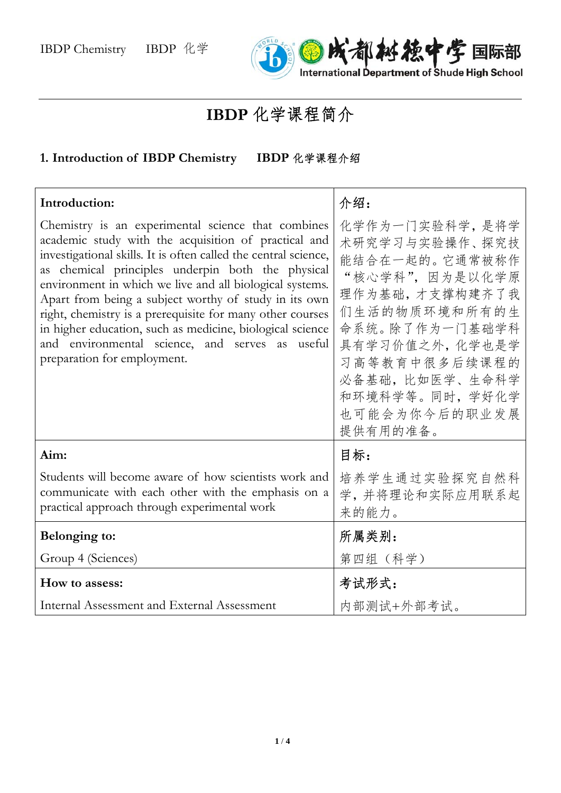

## **IBDP** 化学课程简介

## **1. Introduction of IBDP Chemistry IBDP** 化学课程介绍

| Introduction:                                                                                                                                                                                                                                                                                                                                                                                                                                                                                                                                                       | 介绍:                                                                                                                                                                                                                              |
|---------------------------------------------------------------------------------------------------------------------------------------------------------------------------------------------------------------------------------------------------------------------------------------------------------------------------------------------------------------------------------------------------------------------------------------------------------------------------------------------------------------------------------------------------------------------|----------------------------------------------------------------------------------------------------------------------------------------------------------------------------------------------------------------------------------|
| Chemistry is an experimental science that combines<br>academic study with the acquisition of practical and<br>investigational skills. It is often called the central science,<br>as chemical principles underpin both the physical<br>environment in which we live and all biological systems.<br>Apart from being a subject worthy of study in its own<br>right, chemistry is a prerequisite for many other courses<br>in higher education, such as medicine, biological science<br>and environmental science, and serves as useful<br>preparation for employment. | 化学作为一门实验科学, 是将学<br>术研究学习与实验操作、探究技<br>能结合在一起的。它通常被称作<br>"核心学科",因为是以化学原<br>理作为基础,才支撑构建齐了我<br>们生活的物质环境和所有的生<br>命系统。除了作为一门基础学科<br>具有学习价值之外, 化学也是学<br>习高等教育中很多后续课程的<br>必备基础,比如医学、生命科学<br>和环境科学等。同时, 学好化学<br>也可能会为你今后的职业发展<br>提供有用的准备。 |
| Aim:                                                                                                                                                                                                                                                                                                                                                                                                                                                                                                                                                                | 目标:                                                                                                                                                                                                                              |
| Students will become aware of how scientists work and<br>communicate with each other with the emphasis on a<br>practical approach through experimental work                                                                                                                                                                                                                                                                                                                                                                                                         | 培养学生通过实验探究自然科<br>学,并将理论和实际应用联系起<br>来的能力。                                                                                                                                                                                         |
| Belonging to:                                                                                                                                                                                                                                                                                                                                                                                                                                                                                                                                                       | 所属类别:                                                                                                                                                                                                                            |
| Group 4 (Sciences)                                                                                                                                                                                                                                                                                                                                                                                                                                                                                                                                                  | 第四组 (科学)                                                                                                                                                                                                                         |
| How to assess:                                                                                                                                                                                                                                                                                                                                                                                                                                                                                                                                                      | 考试形式:                                                                                                                                                                                                                            |
| Internal Assessment and External Assessment                                                                                                                                                                                                                                                                                                                                                                                                                                                                                                                         | 内部测试+外部考试。                                                                                                                                                                                                                       |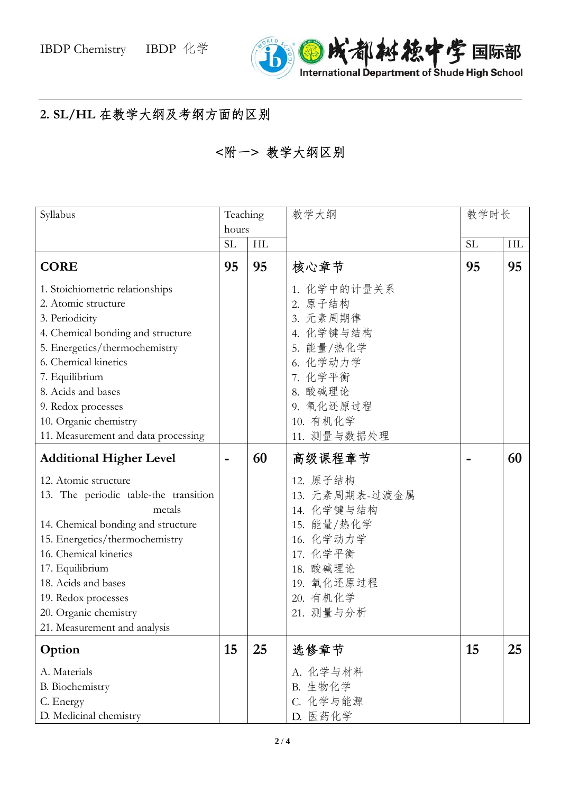

## **2. SL/HL** 在教学大纲及考纲方面的区别

```
<附一> 教学大纲区别
```

| Syllabus                                                                                                                                                                                                                                                                                             | Teaching  |    | 教学大纲                                                                                                                                   | 教学时长      |    |
|------------------------------------------------------------------------------------------------------------------------------------------------------------------------------------------------------------------------------------------------------------------------------------------------------|-----------|----|----------------------------------------------------------------------------------------------------------------------------------------|-----------|----|
|                                                                                                                                                                                                                                                                                                      | hours     |    |                                                                                                                                        |           |    |
|                                                                                                                                                                                                                                                                                                      | <b>SL</b> | HL |                                                                                                                                        | <b>SL</b> | HL |
| <b>CORE</b>                                                                                                                                                                                                                                                                                          | 95        | 95 | 核心章节                                                                                                                                   | 95        | 95 |
| 1. Stoichiometric relationships<br>2. Atomic structure<br>3. Periodicity<br>4. Chemical bonding and structure<br>5. Energetics/thermochemistry<br>6. Chemical kinetics<br>7. Equilibrium<br>8. Acids and bases<br>9. Redox processes<br>10. Organic chemistry<br>11. Measurement and data processing |           |    | 1. 化学中的计量关系<br>2. 原子结构<br>3. 元素周期律<br>4. 化学键与结构<br>5. 能量/热化学<br>6. 化学动力学<br>7. 化学平衡<br>8. 酸碱理论<br>9. 氧化还原过程<br>10. 有机化学<br>11. 测量与数据处理 |           |    |
| <b>Additional Higher Level</b>                                                                                                                                                                                                                                                                       |           | 60 | 高级课程章节                                                                                                                                 |           | 60 |
| 12. Atomic structure<br>13. The periodic table-the transition<br>metals<br>14. Chemical bonding and structure<br>15. Energetics/thermochemistry<br>16. Chemical kinetics<br>17. Equilibrium<br>18. Acids and bases<br>19. Redox processes<br>20. Organic chemistry<br>21. Measurement and analysis   |           |    | 12. 原子结构<br>13. 元素周期表-过渡金属<br>14. 化学键与结构<br>15. 能量/热化学<br>16. 化学动力学<br>17. 化学平衡<br>18. 酸碱理论<br>19. 氧化还原过程<br>20. 有机化学<br>21. 测量与分析     |           |    |
| Option                                                                                                                                                                                                                                                                                               | 15        | 25 | 选修章节                                                                                                                                   | 15        | 25 |
| A. Materials<br><b>B.</b> Biochemistry<br>C. Energy<br>D. Medicinal chemistry                                                                                                                                                                                                                        |           |    | A. 化学与材料<br>B. 生物化学<br>C. 化学与能源<br>D. 医药化学                                                                                             |           |    |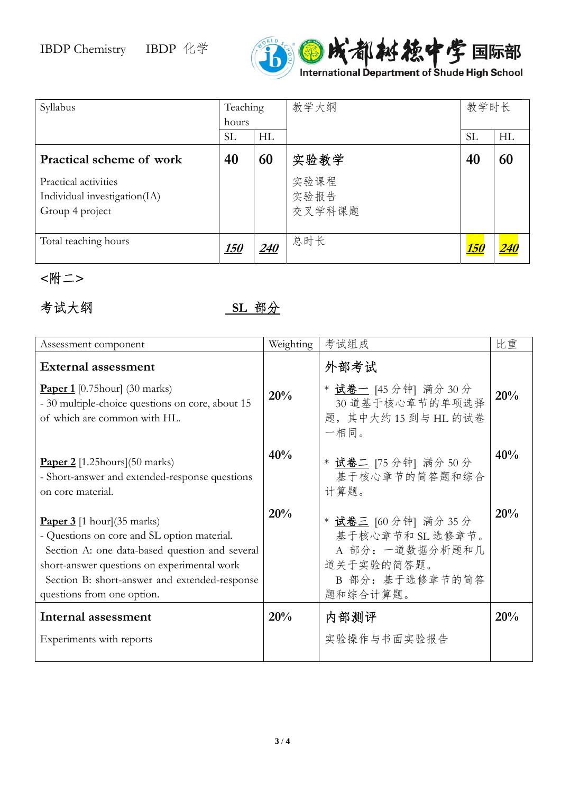

| Syllabus                                                                | Teaching<br>hours |            | 教学大纲                   | 教学时长        |    |
|-------------------------------------------------------------------------|-------------------|------------|------------------------|-------------|----|
|                                                                         | <b>SL</b>         | HL         |                        | <b>SL</b>   | HL |
| <b>Practical scheme of work</b>                                         | 40                | 60         | 实验教学                   | 40          | 60 |
| Practical activities<br>Individual investigation(IA)<br>Group 4 project |                   |            | 实验课程<br>实验报告<br>交叉学科课题 |             |    |
| Total teaching hours                                                    | <u>150</u>        | <i>240</i> | 总时长                    | <u> 150</u> |    |

**<**附二**>** 

## 考试大纲 <u>SL 部分</u>

| Assessment component                                                                                                                                                                                                                                                        | Weighting | 考试组成                                                                                                      | 比重  |
|-----------------------------------------------------------------------------------------------------------------------------------------------------------------------------------------------------------------------------------------------------------------------------|-----------|-----------------------------------------------------------------------------------------------------------|-----|
| <b>External assessment</b><br><b>Paper 1</b> [0.75 hour] (30 marks)<br>- 30 multiple-choice questions on core, about 15<br>of which are common with HL.                                                                                                                     | 20%       | 外部考试<br>* 试卷一 [45 分钟] 满分 30 分<br>30 道基于核心章节的单项选择<br>题, 其中大约15到与 HL 的试卷<br>一相同。                            | 20% |
| <b>Paper 2</b> [1.25 hours] (50 marks)<br>- Short-answer and extended-response questions<br>on core material.                                                                                                                                                               | 40%       | * 试卷二 [75 分钟] 满分 50 分<br>基于核心章节的简答题和综合<br>计算题。                                                            | 40% |
| <b>Paper 3</b> [1 hour] $(35 \text{ marks})$<br>- Questions on core and SL option material.<br>Section A: one data-based question and several<br>short-answer questions on experimental work<br>Section B: short-answer and extended-response<br>questions from one option. | 20%       | * 试卷三 [60 分钟] 满分 35 分<br>基于核心章节和 SL 选修章节。<br>A 部分: 一道数据分析题和几<br>道关于实验的简答题。<br>B 部分: 基于选修章节的简答<br>题和综合计算题。 | 20% |
| Internal assessment<br>Experiments with reports                                                                                                                                                                                                                             | 20%       | 内部测评<br>实验操作与书面实验报告                                                                                       | 20% |